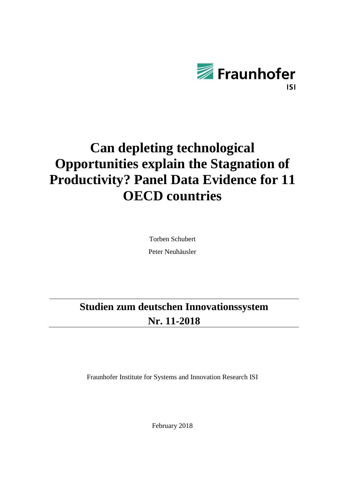

# **Can depleting technological Opportunities explain the Stagnation of Productivity? Panel Data Evidence for 11 OECD countries**

Torben Schubert Peter Neuhäusler

## **Studien zum deutschen Innovationssystem Nr. 11-2018**

Fraunhofer Institute for Systems and Innovation Research ISI

February 2018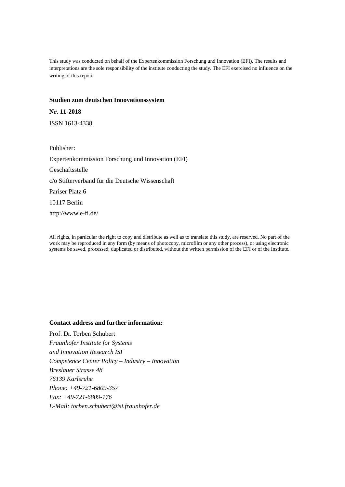This study was conducted on behalf of the Expertenkommission Forschung und Innovation (EFI). The results and interpretations are the sole responsibility of the institute conducting the study. The EFI exercised no influence on the writing of this report.

#### **Studien zum deutschen Innovationssystem**

**Nr. 11-2018** ISSN 1613-4338

Publisher: Expertenkommission Forschung und Innovation (EFI) Geschäftsstelle c/o Stifterverband für die Deutsche Wissenschaft Pariser Platz 6 10117 Berlin http://www.e-fi.de/

All rights, in particular the right to copy and distribute as well as to translate this study, are reserved. No part of the work may be reproduced in any form (by means of photocopy, microfilm or any other process), or using electronic systems be saved, processed, duplicated or distributed, without the written permission of the EFI or of the Institute.

#### **Contact address and further information:**

Prof. Dr. Torben Schubert *Fraunhofer Institute for Systems and Innovation Research ISI Competence Center Policy – Industry – Innovation Breslauer Strasse 48 76139 Karlsruhe Phone: +49-721-6809-357 Fax: +49-721-6809-176 E-Mail: [torben.schubert@isi.fraunhofer.de](mailto:torben.schubert@isi.fraunhofer.de)*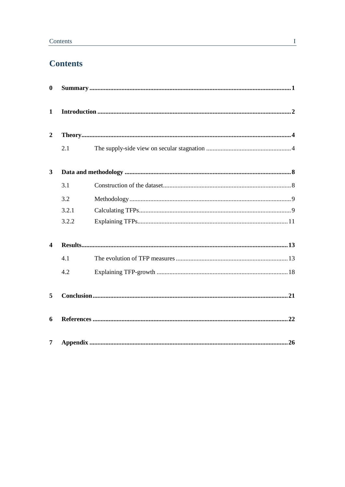## **Contents**

| $\bf{0}$                |       |  |
|-------------------------|-------|--|
| $\mathbf{1}$            |       |  |
| $\boldsymbol{2}$        |       |  |
|                         | 2.1   |  |
| $\mathbf{3}$            |       |  |
|                         | 3.1   |  |
|                         | 3.2   |  |
|                         | 3.2.1 |  |
|                         | 3.2.2 |  |
| $\overline{\mathbf{4}}$ |       |  |
|                         | 4.1   |  |
|                         | 4.2   |  |
| 5                       |       |  |
| 6                       |       |  |
| $\overline{7}$          |       |  |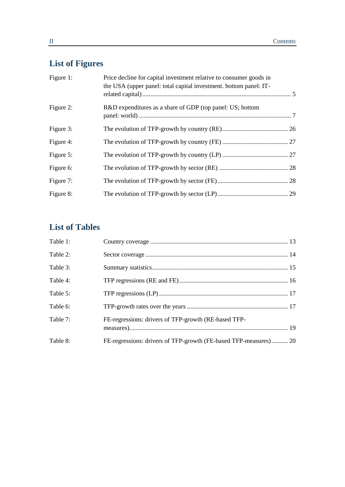## **List of Figures**

| Figure 1: | Price decline for capital investment relative to consumer goods in<br>the USA (upper panel: total capital investment. bottom panel: IT- |  |
|-----------|-----------------------------------------------------------------------------------------------------------------------------------------|--|
| Figure 2: | R&D expenditures as a share of GDP (top panel: US; bottom                                                                               |  |
| Figure 3: |                                                                                                                                         |  |
| Figure 4: |                                                                                                                                         |  |
| Figure 5: |                                                                                                                                         |  |
| Figure 6: |                                                                                                                                         |  |
| Figure 7: |                                                                                                                                         |  |
| Figure 8: |                                                                                                                                         |  |

## **List of Tables**

| Table 1: |                                                                   |  |
|----------|-------------------------------------------------------------------|--|
| Table 2: |                                                                   |  |
| Table 3: |                                                                   |  |
| Table 4: |                                                                   |  |
| Table 5: |                                                                   |  |
| Table 6: |                                                                   |  |
| Table 7: | FE-regressions: drivers of TFP-growth (RE-based TFP-              |  |
| Table 8: | FE-regressions: drivers of TFP-growth (FE-based TFP-measures)  20 |  |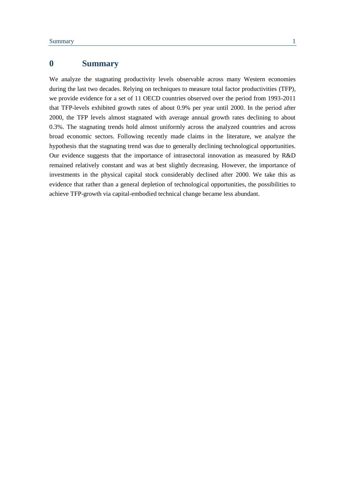## <span id="page-4-0"></span>**0 Summary**

We analyze the stagnating productivity levels observable across many Western economies during the last two decades. Relying on techniques to measure total factor productivities (TFP), we provide evidence for a set of 11 OECD countries observed over the period from 1993-2011 that TFP-levels exhibited growth rates of about 0.9% per year until 2000. In the period after 2000, the TFP levels almost stagnated with average annual growth rates declining to about 0.3%. The stagnating trends hold almost uniformly across the analyzed countries and across broad economic sectors. Following recently made claims in the literature, we analyze the hypothesis that the stagnating trend was due to generally declining technological opportunities. Our evidence suggests that the importance of intrasectoral innovation as measured by R&D remained relatively constant and was at best slightly decreasing. However, the importance of investments in the physical capital stock considerably declined after 2000. We take this as evidence that rather than a general depletion of technological opportunities, the possibilities to achieve TFP-growth via capital-embodied technical change became less abundant.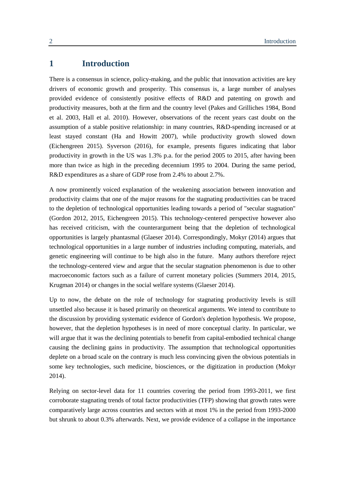### <span id="page-5-0"></span>**1 Introduction**

There is a consensus in science, policy-making, and the public that innovation activities are key drivers of economic growth and prosperity. This consensus is, a large number of analyses provided evidence of consistently positive effects of R&D and patenting on growth and productivity measures, both at the firm and the country level (Pakes and Grilliches 1984, Bond et al. 2003, Hall et al. 2010). However, observations of the recent years cast doubt on the assumption of a stable positive relationship: in many countries, R&D-spending increased or at least stayed constant (Ha and Howitt 2007), while productivity growth slowed down (Eichengreen 2015). Syverson (2016), for example, presents figures indicating that labor productivity in growth in the US was 1.3% p.a. for the period 2005 to 2015, after having been more than twice as high in the preceding decennium 1995 to 2004. During the same period, R&D expenditures as a share of GDP rose from 2.4% to about 2.7%.

A now prominently voiced explanation of the weakening association between innovation and productivity claims that one of the major reasons for the stagnating productivities can be traced to the depletion of technological opportunities leading towards a period of "secular stagnation" (Gordon 2012, 2015, Eichengreen 2015). This technology-centered perspective however also has received criticism, with the counterargument being that the depletion of technological opportunities is largely phantasmal (Glaeser 2014). Correspondingly, Mokyr (2014) argues that technological opportunities in a large number of industries including computing, materials, and genetic engineering will continue to be high also in the future. Many authors therefore reject the technology-centered view and argue that the secular stagnation phenomenon is due to other macroeconomic factors such as a failure of current monetary policies (Summers 2014, 2015, Krugman 2014) or changes in the social welfare systems (Glaeser 2014).

Up to now, the debate on the role of technology for stagnating productivity levels is still unsettled also because it is based primarily on theoretical arguments. We intend to contribute to the discussion by providing systematic evidence of Gordon's depletion hypothesis. We propose, however, that the depletion hypotheses is in need of more conceptual clarity. In particular, we will argue that it was the declining potentials to benefit from capital-embodied technical change causing the declining gains in productivity. The assumption that technological opportunities deplete on a broad scale on the contrary is much less convincing given the obvious potentials in some key technologies, such medicine, biosciences, or the digitization in production (Mokyr 2014).

Relying on sector-level data for 11 countries covering the period from 1993-2011, we first corroborate stagnating trends of total factor productivities (TFP) showing that growth rates were comparatively large across countries and sectors with at most 1% in the period from 1993-2000 but shrunk to about 0.3% afterwards. Next, we provide evidence of a collapse in the importance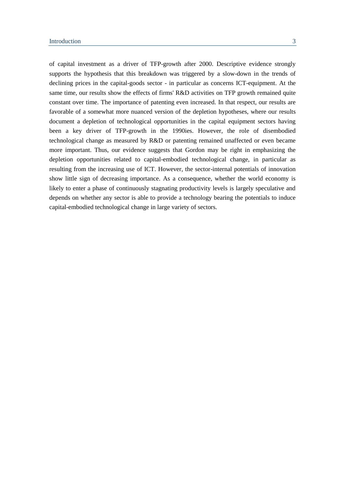of capital investment as a driver of TFP-growth after 2000. Descriptive evidence strongly supports the hypothesis that this breakdown was triggered by a slow-down in the trends of declining prices in the capital-goods sector - in particular as concerns ICT-equipment. At the same time, our results show the effects of firms' R&D activities on TFP growth remained quite constant over time. The importance of patenting even increased. In that respect, our results are favorable of a somewhat more nuanced version of the depletion hypotheses, where our results document a depletion of technological opportunities in the capital equipment sectors having been a key driver of TFP-growth in the 1990ies. However, the role of disembodied technological change as measured by R&D or patenting remained unaffected or even became more important. Thus, our evidence suggests that Gordon may be right in emphasizing the depletion opportunities related to capital-embodied technological change, in particular as resulting from the increasing use of ICT. However, the sector-internal potentials of innovation show little sign of decreasing importance. As a consequence, whether the world economy is likely to enter a phase of continuously stagnating productivity levels is largely speculative and depends on whether any sector is able to provide a technology bearing the potentials to induce capital-embodied technological change in large variety of sectors.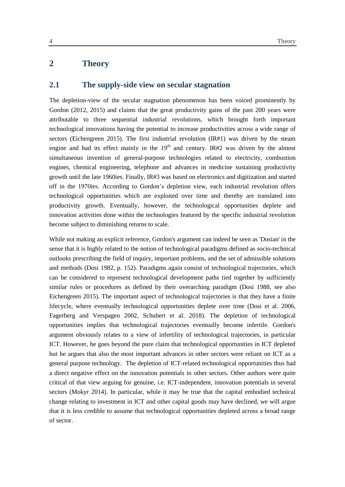## <span id="page-7-1"></span><span id="page-7-0"></span>**2 Theory**

#### **2.1 The supply-side view on secular stagnation**

The depletion-view of the secular stagnation phenomenon has been voiced prominently by Gordon (2012, 2015) and claims that the great productivity gains of the past 200 years were attributable to three sequential industrial revolutions, which brought forth important technological innovations having the potential to increase productivities across a wide range of sectors (Eichengreen 2015). The first industrial revolution (IR#1) was driven by the steam engine and had its effect mainly in the  $19<sup>th</sup>$  and century. IR#2 was driven by the almost simultaneous invention of general-purpose technologies related to electricity, combustion engines, chemical engineering, telephone and advances in medicine sustaining productivity growth until the late 1960ies. Finally, IR#3 was based on electronics and digitization and started off in the 1970ies. According to Gordon's depletion view, each industrial revolution offers technological opportunities which are exploited over time and thereby are translated into productivity growth. Eventually, however, the technological opportunities deplete and innovation activities done within the technologies featured by the specific industrial revolution become subject to diminishing returns to scale.

While not making an explicit reference, Gordon's argument can indeed be seen as 'Dosian' in the sense that it is highly related to the notion of technological paradigms defined as socio-technical outlooks prescribing the field of inquiry, important problems, and the set of admissible solutions and methods (Dosi 1982, p. 152). Paradigms again consist of technological trajectories, which can be considered to represent technological development paths tied together by sufficiently similar rules or procedures as defined by their overarching paradigm (Dosi 1988, see also Eichengreen 2015). The important aspect of technological trajectories is that they have a finite lifecycle, where eventually technological opportunities deplete over time (Dosi et al. 2006, Fagerberg and Verspagen 2002, Schubert et al. 2018). The depletion of technological opportunities implies that technological trajectories eventually become infertile. Gordon's argument obviously relates to a view of infertility of technological trajectories, in particular ICT. However, he goes beyond the pure claim that technological opportunities in ICT depleted but he argues that also the most important advances in other sectors were reliant on ICT as a general purpose technology. The depletion of ICT-related technological opportunities thus had a direct negative effect on the innovation potentials in other sectors. Other authors were quite critical of that view arguing for genuine, i.e. ICT-independent, innovation potentials in several sectors (Mokyr 2014). In particular, while it may be true that the capital embodied technical change relating to investment in ICT and other capital goods may have declined, we will argue that it is less credible to assume that technological opportunities depleted across a broad range of sector.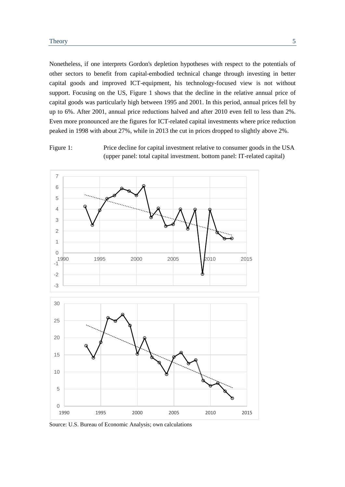Nonetheless, if one interprets Gordon's depletion hypotheses with respect to the potentials of other sectors to benefit from capital-embodied technical change through investing in better capital goods and improved ICT-equipment, his technology-focused view is not without support. Focusing on the US, [Figure 1](#page-8-0) shows that the decline in the relative annual price of capital goods was particularly high between 1995 and 2001. In this period, annual prices fell by up to 6%. After 2001, annual price reductions halved and after 2010 even fell to less than 2%. Even more pronounced are the figures for ICT-related capital investments where price reduction peaked in 1998 with about 27%, while in 2013 the cut in prices dropped to slightly above 2%.

<span id="page-8-0"></span>Figure 1: Price decline for capital investment relative to consumer goods in the USA (upper panel: total capital investment. bottom panel: IT-related capital)



Source: U.S. Bureau of Economic Analysis; own calculations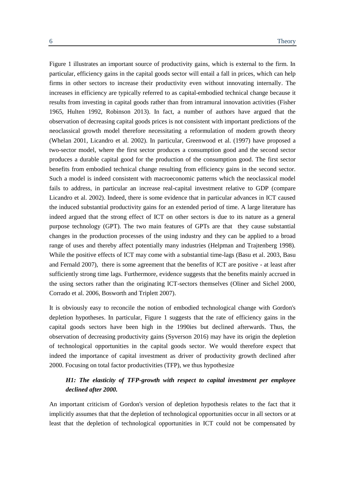[Figure 1](#page-8-0) illustrates an important source of productivity gains, which is external to the firm. In particular, efficiency gains in the capital goods sector will entail a fall in prices, which can help firms in other sectors to increase their productivity even without innovating internally. The increases in efficiency are typically referred to as capital-embodied technical change because it results from investing in capital goods rather than from intramural innovation activities (Fisher 1965, Hulten 1992, Robinson 2013). In fact, a number of authors have argued that the observation of decreasing capital goods prices is not consistent with important predictions of the neoclassical growth model therefore necessitating a reformulation of modern growth theory (Whelan 2001, Licandro et al. 2002). In particular, Greenwood et al. (1997) have proposed a two-sector model, where the first sector produces a consumption good and the second sector produces a durable capital good for the production of the consumption good. The first sector benefits from embodied technical change resulting from efficiency gains in the second sector. Such a model is indeed consistent with macroeconomic patterns which the neoclassical model fails to address, in particular an increase real-capital investment relative to GDP (compare Licandro et al. 2002). Indeed, there is some evidence that in particular advances in ICT caused the induced substantial productivity gains for an extended period of time. A large literature has indeed argued that the strong effect of ICT on other sectors is due to its nature as a general purpose technology (GPT). The two main features of GPTs are that they cause substantial changes in the production processes of the using industry and they can be applied to a broad range of uses and thereby affect potentially many industries (Helpman and Trajtenberg 1998). While the positive effects of ICT may come with a substantial time-lags (Basu et al. 2003, Basu and Fernald 2007), there is some agreement that the benefits of ICT are positive - at least after sufficiently strong time lags. Furthermore, evidence suggests that the benefits mainly accrued in the using sectors rather than the originating ICT-sectors themselves (Oliner and Sichel 2000, Corrado et al. 2006, Bosworth and Triplett 2007).

It is obviously easy to reconcile the notion of embodied technological change with Gordon's depletion hypotheses. In particular, [Figure 1](#page-8-0) suggests that the rate of efficiency gains in the capital goods sectors have been high in the 1990ies but declined afterwards. Thus, the observation of decreasing productivity gains (Syverson 2016) may have its origin the depletion of technological opportunities in the capital goods sector. We would therefore expect that indeed the importance of capital investment as driver of productivity growth declined after 2000. Focusing on total factor productivities (TFP), we thus hypothesize

#### *H1: The elasticity of TFP-growth with respect to capital investment per employee declined after 2000.*

An important criticism of Gordon's version of depletion hypothesis relates to the fact that it implicitly assumes that that the depletion of technological opportunities occur in all sectors or at least that the depletion of technological opportunities in ICT could not be compensated by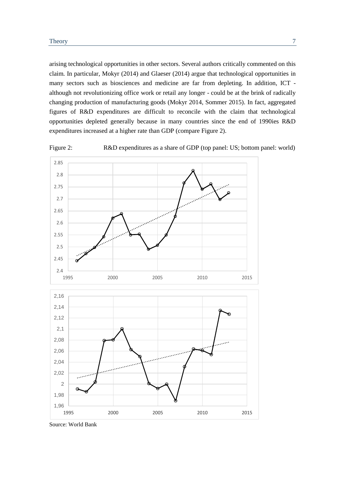arising technological opportunities in other sectors. Several authors critically commented on this claim. In particular, Mokyr (2014) and Glaeser (2014) argue that technological opportunities in many sectors such as biosciences and medicine are far from depleting. In addition, ICT although not revolutionizing office work or retail any longer - could be at the brink of radically changing production of manufacturing goods (Mokyr 2014, Sommer 2015). In fact, aggregated figures of R&D expenditures are difficult to reconcile with the claim that technological opportunities depleted generally because in many countries since the end of 1990ies R&D expenditures increased at a higher rate than GDP (compare [Figure 2\)](#page-10-0).



<span id="page-10-0"></span>Figure 2: R&D expenditures as a share of GDP (top panel: US; bottom panel: world)

Source: World Bank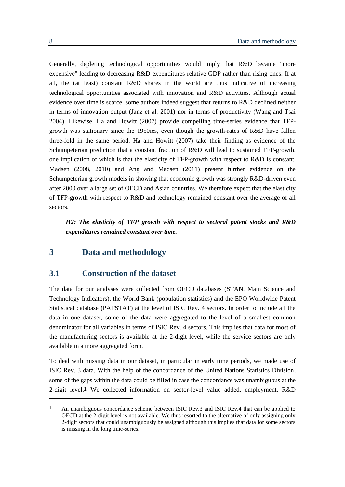Generally, depleting technological opportunities would imply that R&D became "more expensive" leading to decreasing R&D expenditures relative GDP rather than rising ones. If at all, the (at least) constant R&D shares in the world are thus indicative of increasing technological opportunities associated with innovation and R&D activities. Although actual evidence over time is scarce, some authors indeed suggest that returns to R&D declined neither in terms of innovation output (Janz et al. 2001) nor in terms of productivity (Wang and Tsai 2004). Likewise, Ha and Howitt (2007) provide compelling time-series evidence that TFPgrowth was stationary since the 1950ies, even though the growth-rates of R&D have fallen three-fold in the same period. Ha and Howitt (2007) take their finding as evidence of the Schumpeterian prediction that a constant fraction of R&D will lead to sustained TFP-growth, one implication of which is that the elasticity of TFP-growth with respect to R&D is constant. Madsen (2008, 2010) and Ang and Madsen (2011) present further evidence on the Schumpeterian growth models in showing that economic growth was strongly R&D-driven even after 2000 over a large set of OECD and Asian countries. We therefore expect that the elasticity of TFP-growth with respect to R&D and technology remained constant over the average of all sectors.

*H2: The elasticity of TFP growth with respect to sectoral patent stocks and R&D expenditures remained constant over time.*

#### <span id="page-11-1"></span><span id="page-11-0"></span>**3 Data and methodology**

#### **3.1 Construction of the dataset**

The data for our analyses were collected from OECD databases (STAN, Main Science and Technology Indicators), the World Bank (population statistics) and the EPO Worldwide Patent Statistical database (PATSTAT) at the level of ISIC Rev. 4 sectors. In order to include all the data in one dataset, some of the data were aggregated to the level of a smallest common denominator for all variables in terms of ISIC Rev. 4 sectors. This implies that data for most of the manufacturing sectors is available at the 2-digit level, while the service sectors are only available in a more aggregated form.

To deal with missing data in our dataset, in particular in early time periods, we made use of ISIC Rev. 3 data. With the help of the concordance of the United Nations Statistics Division, some of the gaps within the data could be filled in case the concordance was unambiguous at the 2-digit level.1 We collected information on sector-level value added, employment, R&D

1

<sup>1</sup> An unambiguous concordance scheme between ISIC Rev.3 and ISIC Rev.4 that can be applied to OECD at the 2-digit level is not available. We thus resorted to the alternative of only assigning only 2-digit sectors that could unambiguously be assigned although this implies that data for some sectors is missing in the long time-series.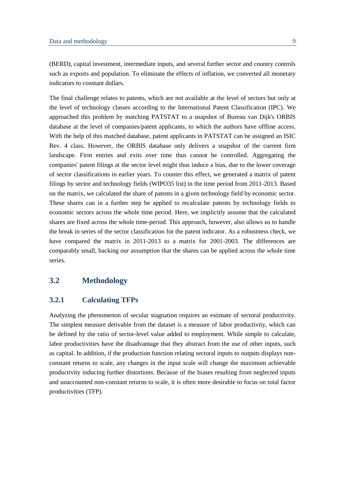(BERD), capital investment, intermediate inputs, and several further sector and country controls such as exports and population. To eliminate the effects of inflation, we converted all monetary indicators to constant dollars.

The final challenge relates to patents, which are not available at the level of sectors but only at the level of technology classes according to the International Patent Classification (IPC). We approached this problem by matching PATSTAT to a snapshot of Bureau van Dijk's ORBIS database at the level of companies/patent applicants, to which the authors have offline access. With the help of this matched database, patent applicants in PATSTAT can be assigned an ISIC Rev. 4 class. However, the ORBIS database only delivers a snapshot of the current firm landscape. Firm entries and exits over time thus cannot be controlled. Aggregating the companies' patent filings at the sector level might thus induce a bias, due to the lower coverage of sector classifications in earlier years. To counter this effect, we generated a matrix of patent filings by sector and technology fields (WIPO35 list) in the time period from 2011-2013. Based on the matrix, we calculated the share of patents in a given technology field by economic sector. These shares can in a further step be applied to recalculate patents by technology fields to economic sectors across the whole time period. Here, we implicitly assume that the calculated shares are fixed across the whole time-period. This approach, however, also allows us to handle the break in series of the sector classification for the patent indicator. As a robustness check, we have compared the matrix in 2011-2013 to a matrix for 2001-2003. The differences are comparably small, backing our assumption that the shares can be applied across the whole time series.

#### <span id="page-12-1"></span><span id="page-12-0"></span>**3.2 Methodology**

#### **3.2.1 Calculating TFPs**

Analyzing the phenomenon of secular stagnation requires an estimate of sectoral productivity. The simplest measure derivable from the dataset is a measure of labor productivity, which can be defined by the ratio of sector-level value added to employment. While simple to calculate, labor productivities have the disadvantage that they abstract from the use of other inputs, such as capital. In addition, if the production function relating sectoral inputs to outputs displays nonconstant returns to scale, any changes in the input scale will change the maximum achievable productivity inducing further distortions. Because of the biases resulting from neglected inputs and unaccounted non-constant returns to scale, it is often more desirable to focus on total factor productivities (TFP).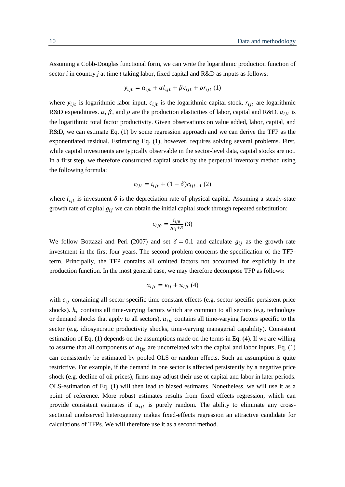Assuming a Cobb-Douglas functional form, we can write the logarithmic production function of sector *i* in country *j* at time *t* taking labor, fixed capital and  $R&D$  as inputs as follows:

$$
y_{ijt} = a_{ijt} + \alpha l_{ijt} + \beta c_{ijt} + \rho r_{ijt} \tag{1}
$$

where  $y_{ijt}$  is logarithmic labor input,  $c_{ijt}$  is the logarithmic capital stock,  $r_{ijt}$  are logarithmic R&D expenditures.  $\alpha$ ,  $\beta$ , and  $\rho$  are the production elasticities of labor, capital and R&D.  $a_{ijt}$  is the logarithmic total factor productivity. Given observations on value added, labor, capital, and R&D, we can estimate Eq. (1) by some regression approach and we can derive the TFP as the exponentiated residual. Estimating Eq. (1), however, requires solving several problems. First, while capital investments are typically observable in the sector-level data, capital stocks are not. In a first step, we therefore constructed capital stocks by the perpetual inventory method using the following formula:

$$
c_{ijt} = i_{ijt} + (1 - \delta)c_{ijt-1} (2)
$$

where  $i_{ijt}$  is investment  $\delta$  is the depreciation rate of physical capital. Assuming a steady-state growth rate of capital  $g_{ij}$  we can obtain the initial capital stock through repeated substitution:

$$
c_{ij0} = \frac{i_{ij0}}{g_{ij} + \delta} (3)
$$

We follow Bottazzi and Peri (2007) and set  $\delta = 0.1$  and calculate  $g_{ij}$  as the growth rate investment in the first four years. The second problem concerns the specification of the TFPterm. Principally, the TFP contains all omitted factors not accounted for explicitly in the production function. In the most general case, we may therefore decompose TFP as follows:

$$
a_{ijt} = e_{ij} + u_{ijt} \tag{4}
$$

with  $e_{ij}$  containing all sector specific time constant effects (e.g. sector-specific persistent price shocks).  $h_t$  contains all time-varying factors which are common to all sectors (e.g. technology or demand shocks that apply to all sectors).  $u_{ijt}$  contains all time-varying factors specific to the sector (e.g. idiosyncratic productivity shocks, time-varying managerial capability). Consistent estimation of Eq. (1) depends on the assumptions made on the terms in Eq. (4). If we are willing to assume that all components of  $a_{ijt}$  are uncorrelated with the capital and labor inputs, Eq. (1) can consistently be estimated by pooled OLS or random effects. Such an assumption is quite restrictive. For example, if the demand in one sector is affected persistently by a negative price shock (e.g. decline of oil prices), firms may adjust their use of capital and labor in later periods. OLS-estimation of Eq. (1) will then lead to biased estimates. Nonetheless, we will use it as a point of reference. More robust estimates results from fixed effects regression, which can provide consistent estimates if  $u_{ijt}$  is purely random. The ability to eliminate any crosssectional unobserved heterogeneity makes fixed-effects regression an attractive candidate for calculations of TFPs. We will therefore use it as a second method.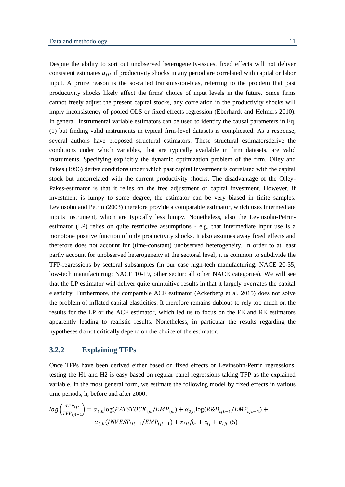Despite the ability to sort out unobserved heterogeneity-issues, fixed effects will not deliver consistent estimates  $u_{ijt}$  if productivity shocks in any period are correlated with capital or labor input. A prime reason is the so-called transmission-bias, referring to the problem that past productivity shocks likely affect the firms' choice of input levels in the future. Since firms cannot freely adjust the present capital stocks, any correlation in the productivity shocks will imply inconsistency of pooled OLS or fixed effects regression (Eberhardt and Helmers 2010). In general, instrumental variable estimators can be used to identify the causal parameters in Eq. (1) but finding valid instruments in typical firm-level datasets is complicated. As a response, several authors have proposed structural estimators. These structural estimatorsderive the conditions under which variables, that are typically available in firm datasets, are valid instruments. Specifying explicitly the dynamic optimization problem of the firm, Olley and Pakes (1996) derive conditions under which past capital investment is correlated with the capital stock but uncorrelated with the current productivity shocks. The disadvantage of the Olley-Pakes-estimator is that it relies on the free adjustment of capital investment. However, if investment is lumpy to some degree, the estimator can be very biased in finite samples. Levinsohn and Petrin (2003) therefore provide a comparable estimator, which uses intermediate inputs instrument, which are typically less lumpy. Nonetheless, also the Levinsohn-Petrinestimator (LP) relies on quite restrictive assumptions - e.g. that intermediate input use is a monotone positive function of only productivity shocks. It also assumes away fixed effects and therefore does not account for (time-constant) unobserved heterogeneity. In order to at least partly account for unobserved heterogeneity at the sectoral level, it is common to subdivide the TFP-regressions by sectoral subsamples (in our case high-tech manufacturing: NACE 20-35, low-tech manufacturing: NACE 10-19, other sector: all other NACE categories). We will see that the LP estimator will deliver quite unintuitive results in that it largely overrates the capital elasticity. Furthermore, the comparable ACF estimator (Ackerberg et al. 2015) does not solve the problem of inflated capital elasticities. It therefore remains dubious to rely too much on the results for the LP or the ACF estimator, which led us to focus on the FE and RE estimators apparently leading to realistic results. Nonetheless, in particular the results regarding the hypotheses do not critically depend on the choice of the estimator.

#### <span id="page-14-0"></span>**3.2.2 Explaining TFPs**

Once TFPs have been derived either based on fixed effects or Levinsohn-Petrin regressions, testing the H1 and H2 is easy based on regular panel regressions taking TFP as the explained variable. In the most general form, we estimate the following model by fixed effects in various time periods, h, before and after 2000:

$$
log\left(\frac{TFP_{ijt}}{TFP_{ijt-1}}\right) = \alpha_{1,h}log(PATSTOCK_{ijt}/EMP_{ijt}) + \alpha_{2,h}log(R\&D_{ijt-1}/EMP_{ijt-1}) + \alpha_{3,h}(INVEST_{ijt-1}/EMP_{ijt-1}) + \chi_{ijt}\beta_h + c_{ij} + \nu_{ijt}(5)
$$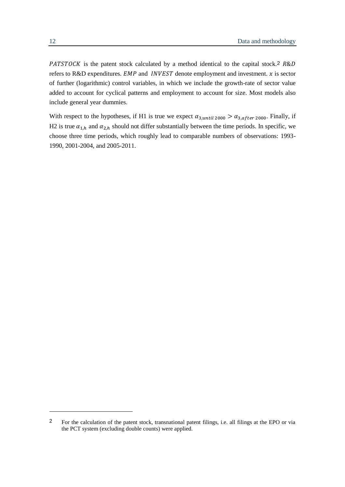PATSTOCK is the patent stock calculated by a method identical to the capital stock.<sup>2</sup>  $R&D$ refers to R&D expenditures.  $EMP$  and  $INVEST$  denote employment and investment.  $x$  is sector of further (logarithmic) control variables, in which we include the growth-rate of sector value added to account for cyclical patterns and employment to account for size. Most models also include general year dummies.

With respect to the hypotheses, if H1 is true we expect  $\alpha_{3, until\ 2000} > \alpha_{3, after\ 2000}$ . Finally, if H2 is true  $\alpha_{1,h}$  and  $\alpha_{2,h}$  should not differ substantially between the time periods. In specific, we choose three time periods, which roughly lead to comparable numbers of observations: 1993- 1990, 2001-2004, and 2005-2011.

-

<sup>2</sup> For the calculation of the patent stock, transnational patent filings, i.e. all filings at the EPO or via the PCT system (excluding double counts) were applied.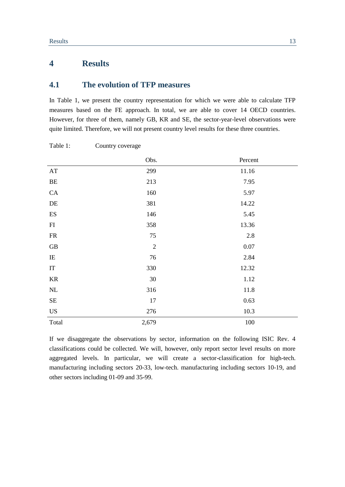## <span id="page-16-1"></span><span id="page-16-0"></span>**4 Results**

#### **4.1 The evolution of TFP measures**

In [Table 1,](#page-16-2) we present the country representation for which we were able to calculate TFP measures based on the FE approach. In total, we are able to cover 14 OECD countries. However, for three of them, namely GB, KR and SE, the sector-year-level observations were quite limited. Therefore, we will not present country level results for these three countries.

|                            | Obs.       | Percent  |
|----------------------------|------------|----------|
| AT                         | 299        | 11.16    |
| BE                         | 213        | 7.95     |
| ${\rm CA}$                 | 160        | 5.97     |
| $\rm DE$                   | 381        | 14.22    |
| $\mathop{\hbox{\rm ES}}$   | 146        | 5.45     |
| FI                         | 358        | 13.36    |
| FR                         | 75         | 2.8      |
| GB                         | $\sqrt{2}$ | $0.07\,$ |
| IE                         | 76         | 2.84     |
| $\ensuremath{\mathsf{IT}}$ | 330        | 12.32    |
| KR                         | 30         | 1.12     |
| NL                         | 316        | 11.8     |
| $\rm SE$                   | 17         | 0.63     |
| <b>US</b>                  | 276        | 10.3     |
| Total                      | 2,679      | 100      |

<span id="page-16-2"></span>Table 1: Country coverage

If we disaggregate the observations by sector, information on the following ISIC Rev. 4 classifications could be collected. We will, however, only report sector level results on more aggregated levels. In particular, we will create a sector-classification for high-tech. manufacturing including sectors 20-33, low-tech. manufacturing including sectors 10-19, and other sectors including 01-09 and 35-99.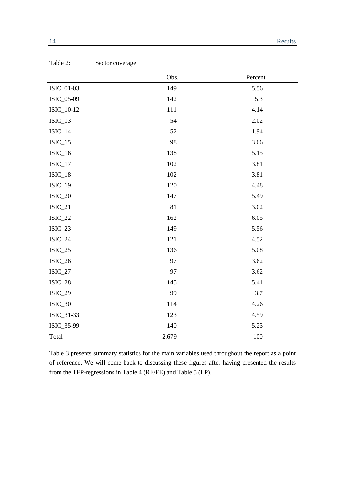|                | Obs.  | Percent |
|----------------|-------|---------|
| ISIC_01-03     | 149   | 5.56    |
| ISIC_05-09     | 142   | 5.3     |
| ISIC_10-12     | 111   | 4.14    |
| $ISIC_13$      | 54    | 2.02    |
| $ISIC_14$      | 52    | 1.94    |
| $ISIC_15$      | 98    | 3.66    |
| $ISIC_16$      | 138   | 5.15    |
| $ISIC_17$      | 102   | 3.81    |
| $ISIC_18$      | 102   | 3.81    |
| $ISIC_19$      | 120   | 4.48    |
| $ISIC_20$      | 147   | 5.49    |
| $ISIC_21$      | 81    | 3.02    |
| $ISIC_22$      | 162   | 6.05    |
| $ISIC_23$      | 149   | 5.56    |
| $ISIC_24$      | 121   | 4.52    |
| $ISIC_25$      | 136   | 5.08    |
| $ISIC_26$      | 97    | 3.62    |
| $ISIC_27$      | 97    | 3.62    |
| $ISIC_28$      | 145   | 5.41    |
| <b>ISIC_29</b> | 99    | 3.7     |
| $ISIC_30$      | 114   | 4.26    |
| ISIC_31-33     | 123   | 4.59    |
| ISIC_35-99     | 140   | 5.23    |
| Total          | 2,679 | 100     |

<span id="page-17-0"></span>

| Table 2: | Sector coverage |
|----------|-----------------|
|----------|-----------------|

[Table 3](#page-18-0) presents summary statistics for the main variables used throughout the report as a point of reference. We will come back to discussing these figures after having presented the results from the TFP-regressions in [Table 4](#page-19-0) (RE/FE) and [Table 5](#page-20-0) (LP).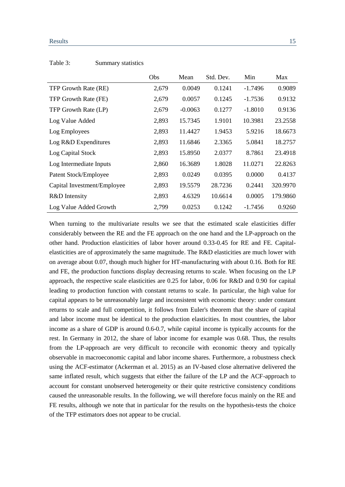#### Results 15

|                             | Obs   | Mean      | Std. Dev. | Min       | Max      |
|-----------------------------|-------|-----------|-----------|-----------|----------|
| TFP Growth Rate (RE)        | 2,679 | 0.0049    | 0.1241    | $-1.7496$ | 0.9089   |
| TFP Growth Rate (FE)        | 2,679 | 0.0057    | 0.1245    | $-1.7536$ | 0.9132   |
| TFP Growth Rate (LP)        | 2,679 | $-0.0063$ | 0.1277    | $-1.8010$ | 0.9136   |
| Log Value Added             | 2,893 | 15.7345   | 1.9101    | 10.3981   | 23.2558  |
| Log Employees               | 2,893 | 11.4427   | 1.9453    | 5.9216    | 18.6673  |
| Log R&D Expenditures        | 2,893 | 11.6846   | 2.3365    | 5.0841    | 18.2757  |
| Log Capital Stock           | 2,893 | 15.8950   | 2.0377    | 8.7861    | 23.4918  |
| Log Intermediate Inputs     | 2,860 | 16.3689   | 1.8028    | 11.0271   | 22.8263  |
| Patent Stock/Employee       | 2,893 | 0.0249    | 0.0395    | 0.0000    | 0.4137   |
| Capital Investment/Employee | 2,893 | 19.5579   | 28.7236   | 0.2441    | 320.9970 |
| R&D Intensity               | 2,893 | 4.6329    | 10.6614   | 0.0005    | 179.9860 |
| Log Value Added Growth      | 2,799 | 0.0253    | 0.1242    | $-1.7456$ | 0.9260   |

#### <span id="page-18-0"></span>Table 3: Summary statistics

When turning to the multivariate results we see that the estimated scale elasticities differ considerably between the RE and the FE approach on the one hand and the LP-approach on the other hand. Production elasticities of labor hover around 0.33-0.45 for RE and FE. Capitalelasticities are of approximately the same magnitude. The R&D elasticities are much lower with on average about 0.07, though much higher for HT-manufacturing with about 0.16. Both for RE and FE, the production functions display decreasing returns to scale. When focusing on the LP approach, the respective scale elasticities are 0.25 for labor, 0.06 for R&D and 0.90 for capital leading to production function with constant returns to scale. In particular, the high value for capital appears to be unreasonably large and inconsistent with economic theory: under constant returns to scale and full competition, it follows from Euler's theorem that the share of capital and labor income must be identical to the production elasticities. In most countries, the labor income as a share of GDP is around 0.6-0.7, while capital income is typically accounts for the rest. In Germany in 2012, the share of labor income for example was 0.68. Thus, the results from the LP-approach are very difficult to reconcile with economic theory and typically observable in macroeconomic capital and labor income shares. Furthermore, a robustness check using the ACF-estimator (Ackerman et al. 2015) as an IV-based close alternative delivered the same inflated result, which suggests that either the failure of the LP and the ACF-approach to account for constant unobserved heterogeneity or their quite restrictive consistency conditions caused the unreasonable results. In the following, we will therefore focus mainly on the RE and FE results, although we note that in particular for the results on the hypothesis-tests the choice of the TFP estimators does not appear to be crucial.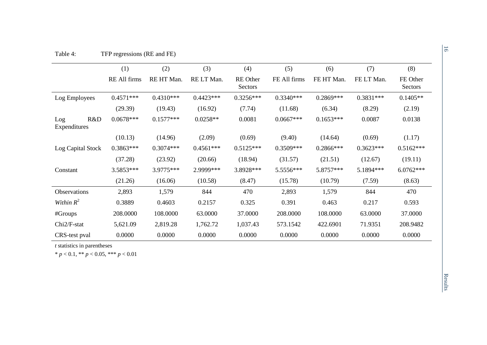|                            | (1)          | (2)         | (3)         | (4)                        | (5)          | (6)         | (7)         | (8)                 |
|----------------------------|--------------|-------------|-------------|----------------------------|--------------|-------------|-------------|---------------------|
|                            | RE All firms | RE HT Man.  | RE LT Man.  | <b>RE</b> Other<br>Sectors | FE All firms | FE HT Man.  | FE LT Man.  | FE Other<br>Sectors |
| Log Employees              | $0.4571***$  | $0.4310***$ | $0.4423***$ | $0.3256***$                | $0.3340***$  | $0.2869***$ | $0.3831***$ | $0.1405**$          |
|                            | (29.39)      | (19.43)     | (16.92)     | (7.74)                     | (11.68)      | (6.34)      | (8.29)      | (2.19)              |
| R&D<br>Log<br>Expenditures | $0.0678***$  | $0.1577***$ | $0.0258**$  | 0.0081                     | $0.0667***$  | $0.1653***$ | 0.0087      | 0.0138              |
|                            | (10.13)      | (14.96)     | (2.09)      | (0.69)                     | (9.40)       | (14.64)     | (0.69)      | (1.17)              |
| Log Capital Stock          | $0.3863***$  | $0.3074***$ | $0.4561***$ | $0.5125***$                | $0.3509***$  | $0.2866***$ | $0.3623***$ | $0.5162***$         |
|                            | (37.28)      | (23.92)     | (20.66)     | (18.94)                    | (31.57)      | (21.51)     | (12.67)     | (19.11)             |
| Constant                   | 3.5853***    | 3.9775***   | 2.9999***   | 3.8928 ***                 | 5.5556***    | 5.8757***   | 5.1894***   | $6.0762***$         |
|                            | (21.26)      | (16.06)     | (10.58)     | (8.47)                     | (15.78)      | (10.79)     | (7.59)      | (8.63)              |
| Observations               | 2,893        | 1,579       | 844         | 470                        | 2,893        | 1,579       | 844         | 470                 |
| Within $R^2$               | 0.3889       | 0.4603      | 0.2157      | 0.325                      | 0.391        | 0.463       | 0.217       | 0.593               |
| #Groups                    | 208.0000     | 108.0000    | 63.0000     | 37.0000                    | 208.0000     | 108.0000    | 63.0000     | 37.0000             |
| Chi <sub>2/F-stat</sub>    | 5,621.09     | 2,819.28    | 1,762.72    | 1,037.43                   | 573.1542     | 422.6901    | 71.9351     | 208.9482            |
| CRS-test pval              | 0.0000       | 0.0000      | 0.0000      | 0.0000                     | 0.0000       | 0.0000      | 0.0000      | 0.0000              |

<span id="page-19-0"></span>*t* statistics in parentheses

\* *p* < 0.1, \*\* *p* < 0.05, \*\*\* *p* < 0.01

Results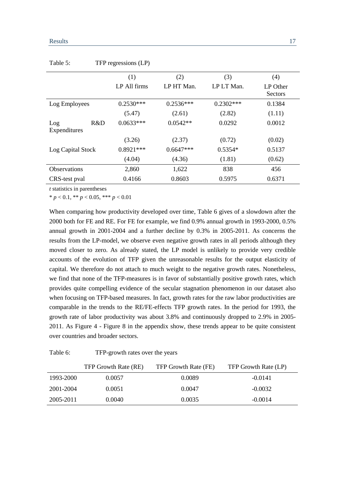|                     | (1)          | (2)         | (3)         | (4)      |
|---------------------|--------------|-------------|-------------|----------|
|                     | LP All firms | LP HT Man.  | LP LT Man.  | LP Other |
|                     |              |             |             | Sectors  |
| Log Employees       | $0.2530***$  | $0.2536***$ | $0.2302***$ | 0.1384   |
|                     | (5.47)       | (2.61)      | (2.82)      | (1.11)   |
| R&D<br>Log          | $0.0633***$  | $0.0542**$  | 0.0292      | 0.0012   |
| Expenditures        |              |             |             |          |
|                     | (3.26)       | (2.37)      | (0.72)      | (0.02)   |
| Log Capital Stock   | $0.8921***$  | $0.6647***$ | $0.5354*$   | 0.5137   |
|                     | (4.04)       | (4.36)      | (1.81)      | (0.62)   |
| <b>Observations</b> | 2,860        | 1,622       | 838         | 456      |
| CRS-test pval       | 0.4166       | 0.8603      | 0.5975      | 0.6371   |

<span id="page-20-0"></span>Table 5: TFP regressions (LP)

*t* statistics in parentheses

 $* p < 0.1, ** p < 0.05, *** p < 0.01$ 

When comparing how productivity developed over time, [Table 6](#page-20-1) gives of a slowdown after the 2000 both for FE and RE. For FE for example, we find 0.9% annual growth in 1993-2000, 0.5% annual growth in 2001-2004 and a further decline by 0.3% in 2005-2011. As concerns the results from the LP-model, we observe even negative growth rates in all periods although they moved closer to zero. As already stated, the LP model is unlikely to provide very credible accounts of the evolution of TFP given the unreasonable results for the output elasticity of capital. We therefore do not attach to much weight to the negative growth rates. Nonetheless, we find that none of the TFP-measures is in favor of substantially positive growth rates, which provides quite compelling evidence of the secular stagnation phenomenon in our dataset also when focusing on TFP-based measures. In fact, growth rates for the raw labor productivities are comparable in the trends to the RE/FE-effects TFP growth rates. In the period for 1993, the growth rate of labor productivity was about 3.8% and continuously dropped to 2.9% in 2005- 2011. As [Figure 4](#page-30-0) - [Figure 8](#page-32-0) in the appendix show, these trends appear to be quite consistent over countries and broader sectors.

<span id="page-20-1"></span>

| Table 6: | TFP-growth rates over the years |  |
|----------|---------------------------------|--|
|----------|---------------------------------|--|

|           | TFP Growth Rate (RE) | TFP Growth Rate (FE) | TFP Growth Rate (LP) |
|-----------|----------------------|----------------------|----------------------|
| 1993-2000 | 0.0057               | 0.0089               | $-0.0141$            |
| 2001-2004 | 0.0051               | 0.0047               | $-0.0032$            |
| 2005-2011 | 0.0040               | 0.0035               | $-0.0014$            |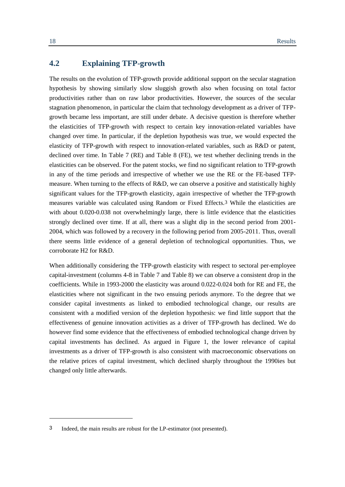### <span id="page-21-0"></span>**4.2 Explaining TFP-growth**

The results on the evolution of TFP-growth provide additional support on the secular stagnation hypothesis by showing similarly slow sluggish growth also when focusing on total factor productivities rather than on raw labor productivities. However, the sources of the secular stagnation phenomenon, in particular the claim that technology development as a driver of TFPgrowth became less important, are still under debate. A decisive question is therefore whether the elasticities of TFP-growth with respect to certain key innovation-related variables have changed over time. In particular, if the depletion hypothesis was true, we would expected the elasticity of TFP-growth with respect to innovation-related variables, such as R&D or patent, declined over time. In [Table 7](#page-22-0) (RE) and [Table 8](#page-23-0) (FE), we test whether declining trends in the elasticities can be observed. For the patent stocks, we find no significant relation to TFP-growth in any of the time periods and irrespective of whether we use the RE or the FE-based TFPmeasure. When turning to the effects of R&D, we can observe a positive and statistically highly significant values for the TFP-growth elasticity, again irrespective of whether the TFP-growth measures variable was calculated using Random or Fixed Effects.3 While the elasticities are with about 0.020-0.038 not overwhelmingly large, there is little evidence that the elasticities strongly declined over time. If at all, there was a slight dip in the second period from 2001- 2004, which was followed by a recovery in the following period from 2005-2011. Thus, overall there seems little evidence of a general depletion of technological opportunities. Thus, we corroborate H2 for R&D.

When additionally considering the TFP-growth elasticity with respect to sectoral per-employee capital-investment (columns 4-8 in [Table 7](#page-22-0) and [Table 8\)](#page-23-0) we can observe a consistent drop in the coefficients. While in 1993-2000 the elasticity was around 0.022-0.024 both for RE and FE, the elasticities where not significant in the two ensuing periods anymore. To the degree that we consider capital investments as linked to embodied technological change, our results are consistent with a modified version of the depletion hypothesis: we find little support that the effectiveness of genuine innovation activities as a driver of TFP-growth has declined. We do however find some evidence that the effectiveness of embodied technological change driven by capital investments has declined. As argued in [Figure 1,](#page-8-0) the lower relevance of capital investments as a driver of TFP-growth is also consistent with macroeconomic observations on the relative prices of capital investment, which declined sharply throughout the 1990ies but changed only little afterwards.

1

<sup>3</sup> Indeed, the main results are robust for the LP-estimator (not presented).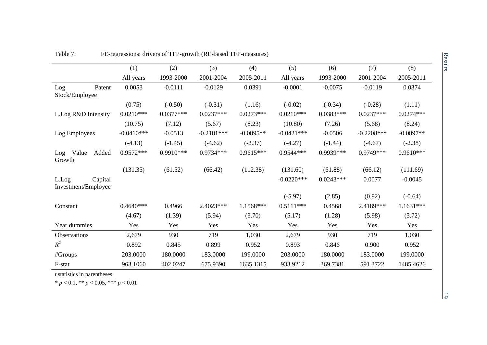|                                         | (1)          | (2)         | (3)          | (4)         | (5)          | (6)         | (7)          | (8)         |
|-----------------------------------------|--------------|-------------|--------------|-------------|--------------|-------------|--------------|-------------|
|                                         | All years    | 1993-2000   | 2001-2004    | 2005-2011   | All years    | 1993-2000   | 2001-2004    | 2005-2011   |
| Patent<br>Log<br>Stock/Employee         | 0.0053       | $-0.0111$   | $-0.0129$    | 0.0391      | $-0.0001$    | $-0.0075$   | $-0.0119$    | 0.0374      |
|                                         | (0.75)       | $(-0.50)$   | $(-0.31)$    | (1.16)      | $(-0.02)$    | $(-0.34)$   | $(-0.28)$    | (1.11)      |
| L.Log R&D Intensity                     | $0.0210***$  | $0.0377***$ | $0.0237***$  | $0.0273***$ | $0.0210***$  | $0.0383***$ | $0.0237***$  | $0.0274***$ |
|                                         | (10.75)      | (7.12)      | (5.67)       | (8.23)      | (10.80)      | (7.26)      | (5.68)       | (8.24)      |
| Log Employees                           | $-0.0410***$ | $-0.0513$   | $-0.2181***$ | $-0.0895**$ | $-0.0421***$ | $-0.0506$   | $-0.2208***$ | $-0.0897**$ |
|                                         | $(-4.13)$    | $(-1.45)$   | $(-4.62)$    | $(-2.37)$   | $(-4.27)$    | $(-1.44)$   | $(-4.67)$    | $(-2.38)$   |
| Value<br>Added<br>Log<br>Growth         | $0.9572***$  | $0.9910***$ | $0.9734***$  | $0.9615***$ | $0.9544***$  | 0.9939***   | $0.9749***$  | $0.9610***$ |
|                                         | (131.35)     | (61.52)     | (66.42)      | (112.38)    | (131.60)     | (61.88)     | (66.12)      | (111.69)    |
| Capital<br>L.Log<br>Investment/Employee |              |             |              |             | $-0.0220***$ | $0.0243***$ | 0.0077       | $-0.0045$   |
|                                         |              |             |              |             | $(-5.97)$    | (2.85)      | (0.92)       | $(-0.64)$   |
| Constant                                | $0.4640***$  | 0.4966      | 2.4023***    | 1.1568***   | $0.5111***$  | 0.4568      | 2.4189***    | $1.1631***$ |
|                                         | (4.67)       | (1.39)      | (5.94)       | (3.70)      | (5.17)       | (1.28)      | (5.98)       | (3.72)      |
| Year dummies                            | Yes          | Yes         | Yes          | Yes         | Yes          | Yes         | Yes          | Yes         |
| Observations                            | 2,679        | 930         | 719          | 1,030       | 2,679        | 930         | 719          | 1,030       |
| $R^2$                                   | 0.892        | 0.845       | 0.899        | 0.952       | 0.893        | 0.846       | 0.900        | 0.952       |
| #Groups                                 | 203.0000     | 180.0000    | 183.0000     | 199.0000    | 203.0000     | 180.0000    | 183.0000     | 199.0000    |
| F-stat                                  | 963.1060     | 402.0247    | 675.9390     | 1635.1315   | 933.9212     | 369.7381    | 591.3722     | 1485.4626   |

Table 7: FE-regressions: drivers of TFP-growth (RE-based TFP-measures)

<span id="page-22-0"></span>*t* statistics in parentheses

\* *p* < 0.1, \*\* *p* < 0.05, \*\*\* *p* < 0.01

19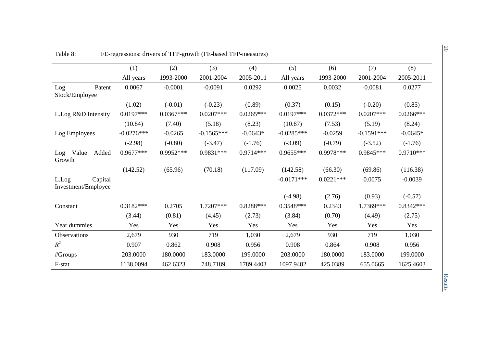<span id="page-23-0"></span>

|                                         | (1)          | (2)         | (3)          | (4)         | (5)          | (6)         | (7)          | (8)         |
|-----------------------------------------|--------------|-------------|--------------|-------------|--------------|-------------|--------------|-------------|
|                                         | All years    | 1993-2000   | 2001-2004    | 2005-2011   | All years    | 1993-2000   | 2001-2004    | 2005-2011   |
| Patent<br>Log<br>Stock/Employee         | 0.0067       | $-0.0001$   | $-0.0091$    | 0.0292      | 0.0025       | 0.0032      | $-0.0081$    | 0.0277      |
|                                         | (1.02)       | $(-0.01)$   | $(-0.23)$    | (0.89)      | (0.37)       | (0.15)      | $(-0.20)$    | (0.85)      |
| L.Log R&D Intensity                     | $0.0197***$  | $0.0367***$ | $0.0207***$  | $0.0265***$ | $0.0197***$  | $0.0372***$ | $0.0207***$  | $0.0266***$ |
|                                         | (10.84)      | (7.40)      | (5.18)       | (8.23)      | (10.87)      | (7.53)      | (5.19)       | (8.24)      |
| Log Employees                           | $-0.0276***$ | $-0.0265$   | $-0.1565***$ | $-0.0643*$  | $-0.0285***$ | $-0.0259$   | $-0.1591***$ | $-0.0645*$  |
|                                         | $(-2.98)$    | $(-0.80)$   | $(-3.47)$    | $(-1.76)$   | $(-3.09)$    | $(-0.79)$   | $(-3.52)$    | $(-1.76)$   |
| Value<br>Added<br>Log<br>Growth         | 0.9677***    | $0.9952***$ | $0.9831***$  | $0.9714***$ | $0.9655***$  | 0.9978***   | 0.9845***    | $0.9710***$ |
|                                         | (142.52)     | (65.96)     | (70.18)      | (117.09)    | (142.58)     | (66.30)     | (69.86)      | (116.38)    |
| L.Log<br>Capital<br>Investment/Employee |              |             |              |             | $-0.0171***$ | $0.0221***$ | 0.0075       | $-0.0039$   |
|                                         |              |             |              |             | $(-4.98)$    | (2.76)      | (0.93)       | $(-0.57)$   |
| Constant                                | $0.3182***$  | 0.2705      | 1.7207***    | $0.8288***$ | $0.3548***$  | 0.2343      | 1.7369***    | $0.8342***$ |
|                                         | (3.44)       | (0.81)      | (4.45)       | (2.73)      | (3.84)       | (0.70)      | (4.49)       | (2.75)      |
| Year dummies                            | Yes          | Yes         | Yes          | Yes         | Yes          | Yes         | Yes          | Yes         |
| Observations                            | 2,679        | 930         | 719          | 1,030       | 2,679        | 930         | 719          | 1,030       |
| $R^2$                                   | 0.907        | 0.862       | 0.908        | 0.956       | 0.908        | 0.864       | 0.908        | 0.956       |
| #Groups                                 | 203.0000     | 180.0000    | 183.0000     | 199.0000    | 203.0000     | 180.0000    | 183.0000     | 199.0000    |
| F-stat                                  | 1138.0094    | 462.6323    | 748.7189     | 1789.4403   | 1097.9482    | 425.0389    | 655.0665     | 1625.4603   |

Table 8: FE-regressions: drivers of TFP-growth (FE-based TFP-measures)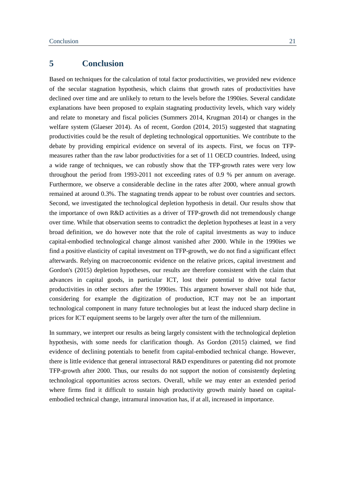## <span id="page-24-0"></span>**5 Conclusion**

Based on techniques for the calculation of total factor productivities, we provided new evidence of the secular stagnation hypothesis, which claims that growth rates of productivities have declined over time and are unlikely to return to the levels before the 1990ies. Several candidate explanations have been proposed to explain stagnating productivity levels, which vary widely and relate to monetary and fiscal policies (Summers 2014, Krugman 2014) or changes in the welfare system (Glaeser 2014). As of recent, Gordon (2014, 2015) suggested that stagnating productivities could be the result of depleting technological opportunities. We contribute to the debate by providing empirical evidence on several of its aspects. First, we focus on TFPmeasures rather than the raw labor productivities for a set of 11 OECD countries. Indeed, using a wide range of techniques, we can robustly show that the TFP-growth rates were very low throughout the period from 1993-2011 not exceeding rates of 0.9 % per annum on average. Furthermore, we observe a considerable decline in the rates after 2000, where annual growth remained at around 0.3%. The stagnating trends appear to be robust over countries and sectors. Second, we investigated the technological depletion hypothesis in detail. Our results show that the importance of own R&D activities as a driver of TFP-growth did not tremendously change over time. While that observation seems to contradict the depletion hypotheses at least in a very broad definition, we do however note that the role of capital investments as way to induce capital-embodied technological change almost vanished after 2000. While in the 1990ies we find a positive elasticity of capital investment on TFP-growth, we do not find a significant effect afterwards. Relying on macroeconomic evidence on the relative prices, capital investment and Gordon's (2015) depletion hypotheses, our results are therefore consistent with the claim that advances in capital goods, in particular ICT, lost their potential to drive total factor productivities in other sectors after the 1990ies. This argument however shall not hide that, considering for example the digitization of production, ICT may not be an important technological component in many future technologies but at least the induced sharp decline in prices for ICT equipment seems to be largely over after the turn of the millennium.

In summary, we interpret our results as being largely consistent with the technological depletion hypothesis, with some needs for clarification though. As Gordon (2015) claimed, we find evidence of declining potentials to benefit from capital-embodied technical change. However, there is little evidence that general intrasectoral R&D expenditures or patenting did not promote TFP-growth after 2000. Thus, our results do not support the notion of consistently depleting technological opportunities across sectors. Overall, while we may enter an extended period where firms find it difficult to sustain high productivity growth mainly based on capitalembodied technical change, intramural innovation has, if at all, increased in importance.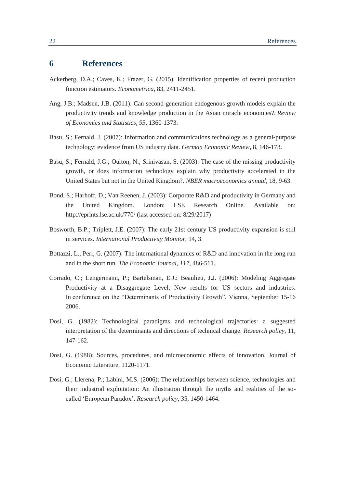### <span id="page-25-0"></span>**6 References**

- Ackerberg, D.A.; Caves, K.; Frazer, G. (2015): Identification properties of recent production function estimators. *Econometrica*, 83, 2411-2451.
- Ang, J.B.; Madsen, J.B. (2011): Can second-generation endogenous growth models explain the productivity trends and knowledge production in the Asian miracle economies?. *Review of Economics and Statistics*, *93*, 1360-1373.
- Basu, S.; Fernald, J. (2007): Information and communications technology as a general-purpose technology: evidence from US industry data. *German Economic Review*, 8, 146-173.
- Basu, S.; Fernald, J.G.; Oulton, N.; Srinivasan, S. (2003): The case of the missing productivity growth, or does information technology explain why productivity accelerated in the United States but not in the United Kingdom?. *NBER macroeconomics annual*, 18, 9-63.
- Bond, S.; Harhoff, D.; Van Reenen, J. (2003): Corporate R&D and productivity in Germany and the United Kingdom. London: LSE Research Online. Available on: http://eprints.lse.ac.uk/770/ (last accessed on: 8/29/2017)
- Bosworth, B.P.; Triplett, J.E. (2007): The early 21st century US productivity expansion is still in services. *International Productivity Monitor*, 14, 3.
- Bottazzi, L.; Peri, G. (2007): The international dynamics of R&D and innovation in the long run and in the short run. *The Economic Journal*, *117*, 486-511.
- Corrado, C.; Lengermann, P.; Bartelsman, E.J.: Beaulieu, J.J. (2006): Modeling Aggregate Productivity at a Disaggregate Level: New results for US sectors and industries. In conference on the "Determinants of Productivity Growth", Vienna, September 15-16 2006.
- Dosi, G. (1982): Technological paradigms and technological trajectories: a suggested interpretation of the determinants and directions of technical change. *Research policy*, 11, 147-162.
- Dosi, G. (1988): Sources, procedures, and microeconomic effects of innovation. Journal of Economic Literature, 1120-1171.
- Dosi, G.; Llerena, P.; Labini, M.S. (2006): The relationships between science, technologies and their industrial exploitation: An illustration through the myths and realities of the socalled 'European Paradox'. *Research policy*, 35, 1450-1464.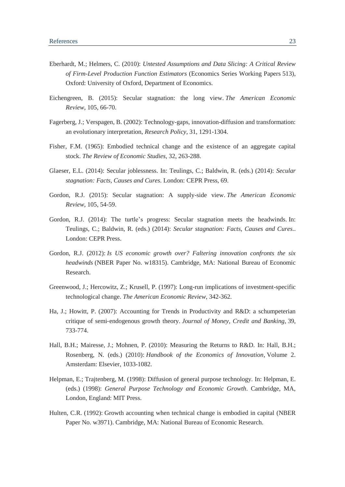- Eberhardt, M.; Helmers, C. (2010): *[Untested Assumptions and Data Slicing: A Critical Review](https://ideas.repec.org/p/oxf/wpaper/513.html)  [of Firm-Level Production Function Estimators](https://ideas.repec.org/p/oxf/wpaper/513.html)* [\(Economics Series Working Papers](https://ideas.repec.org/s/oxf/wpaper.html) 513), Oxford: University of Oxford, Department of Economics.
- Eichengreen, B. (2015): Secular stagnation: the long view. *The American Economic Review*, 105, 66-70.
- Fagerberg, J.; Verspagen, B. (2002): Technology-gaps, innovation-diffusion and transformation: an evolutionary interpretation, *Research Policy*, 31, 1291-1304.
- Fisher, F.M. (1965): Embodied technical change and the existence of an aggregate capital stock. *The Review of Economic Studies*, 32, 263-288.
- Glaeser, E.L. (2014): Secular joblessness. In: Teulings, C.; Baldwin, R. (eds.) (2014): *Secular stagnation: Facts, Causes and Cures*. London: CEPR Press, 69.
- Gordon, R.J. (2015): Secular stagnation: A supply-side view. *The American Economic Review*, 105, 54-59.
- Gordon, R.J. (2014): The turtle's progress: Secular stagnation meets the headwinds. In: Teulings, C.; Baldwin, R. (eds.) (2014): *Secular stagnation: Facts, Causes and Cures*.. London: CEPR Press.
- Gordon, R.J. (2012): *Is US economic growth over? Faltering innovation confronts the six headwinds* (NBER Paper No. w18315). Cambridge, MA: National Bureau of Economic Research.
- Greenwood, J.; Hercowitz, Z.; Krusell, P. (1997): Long-run implications of investment-specific technological change. *The American Economic Review*, 342-362.
- Ha, J.; Howitt, P. (2007): Accounting for Trends in Productivity and R&D: a schumpeterian critique of semi‐endogenous growth theory. *Journal of Money, Credit and Banking*, 39, 733-774.
- Hall, B.H.; Mairesse, J.; Mohnen, P. (2010): Measuring the Returns to R&D. In: Hall, B.H.; Rosenberg, N. (eds.) (2010): *Handbook of the Economics of Innovation*, Volume 2. Amsterdam: Elsevier, 1033-1082.
- Helpman, E.; Trajtenberg, M. (1998): Diffusion of general purpose technology. In: Helpman, E. (eds.) (1998): *General Purpose Technology and Economic Growth*. Cambridge, MA, London, England: MIT Press.
- Hulten, C.R. (1992): Growth accounting when technical change is embodied in capital (NBER Paper No. w3971). Cambridge, MA: National Bureau of Economic Research.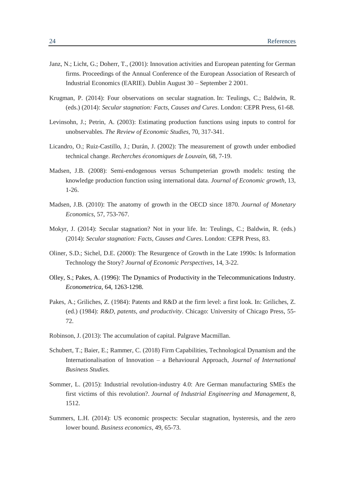- Janz, N.; Licht, G.; Doherr, T., (2001): Innovation activities and European patenting for German firms. Proceedings of the Annual Conference of the European Association of Research of Industrial Economics (EARIE). Dublin August 30 – September 2 2001.
- Krugman, P. (2014): Four observations on secular stagnation. In: Teulings, C.; Baldwin, R. (eds.) (2014): *Secular stagnation: Facts, Causes and Cures*. London: CEPR Press, 61-68.
- Levinsohn, J.; Petrin, A. (2003): Estimating production functions using inputs to control for unobservables. *The Review of Economic Studies*, 70, 317-341.
- Licandro, O.; Ruiz-Castillo, J.; Durán, J. (2002): The measurement of growth under embodied technical change. *Recherches économiques de Louvain*, 68, 7-19.
- Madsen, J.B. (2008): Semi-endogenous versus Schumpeterian growth models: testing the knowledge production function using international data. *Journal of Economic growth*, 13, 1-26.
- Madsen, J.B. (2010): The anatomy of growth in the OECD since 1870. *Journal of Monetary Economics*, 57, 753-767.
- Mokyr, J. (2014): Secular stagnation? Not in your life. In: Teulings, C.; Baldwin, R. (eds.) (2014): *Secular stagnation: Facts, Causes and Cures*. London: CEPR Press, 83.
- Oliner, S.D.; Sichel, D.E. (2000): The Resurgence of Growth in the Late 1990s: Is Information Technology the Story? *Journal of Economic Perspectives*, 14, 3-22.
- Olley, S.; Pakes, A. (1996): The Dynamics of Productivity in the Telecommunications Industry. *Econometrica*, 64, 1263-1298.
- Pakes, A.; Griliches, Z. (1984): Patents and R&D at the firm level: a first look. In: Griliches, Z. (ed.) (1984): *R&D, patents, and productivity*. Chicago: University of Chicago Press, 55- 72.
- Robinson, J. (2013): The accumulation of capital. Palgrave Macmillan.
- Schubert, T.; Baier, E.; Rammer, C. (2018) Firm Capabilities, Technological Dynamism and the Internationalisation of Innovation – a Behavioural Approach, *Journal of International Business Studies.*
- Sommer, L. (2015): Industrial revolution-industry 4.0: Are German manufacturing SMEs the first victims of this revolution?. *Journal of Industrial Engineering and Management*, 8, 1512.
- Summers, L.H. (2014): US economic prospects: Secular stagnation, hysteresis, and the zero lower bound. *Business economics*, 49, 65-73.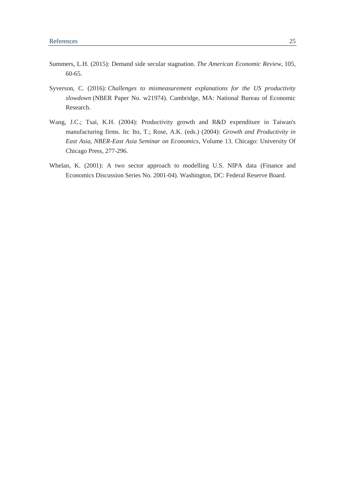- Summers, L.H. (2015): Demand side secular stagnation. *The American Economic Review*, 105, 60-65.
- Syverson, C. (2016): *Challenges to mismeasurement explanations for the US productivity slowdown* (NBER Paper No. w21974). Cambridge, MA: National Bureau of Economic Research.
- Wang, J.C.; Tsai, K.H. (2004): Productivity growth and R&D expenditure in Taiwan's manufacturing firms. In: Ito, T.; Rose, A.K. (eds.) (2004): *Growth and Productivity in East Asia, NBER-East Asia Seminar on Economics*, Volume 13. Chicago: University Of Chicago Press, 277-296.
- Whelan, K. (2001): A two sector approach to modelling U.S. NIPA data (Finance and Economics Discussion Series No. 2001-04). Washington, DC: Federal Reserve Board.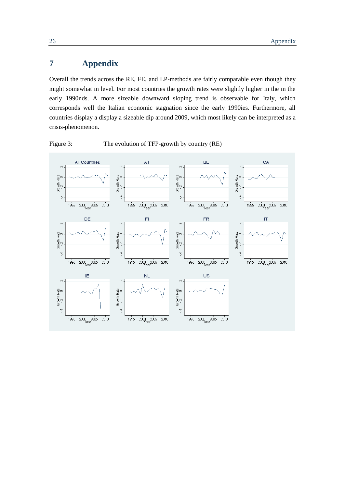## <span id="page-29-0"></span>**7 Appendix**

Overall the trends across the RE, FE, and LP-methods are fairly comparable even though they might somewhat in level. For most countries the growth rates were slightly higher in the in the early 1990nds. A more sizeable downward sloping trend is observable for Italy, which corresponds well the Italian economic stagnation since the early 1990ies. Furthermore, all countries display a display a sizeable dip around 2009, which most likely can be interpreted as a crisis-phenomenon.



<span id="page-29-1"></span>Figure 3: The evolution of TFP-growth by country (RE)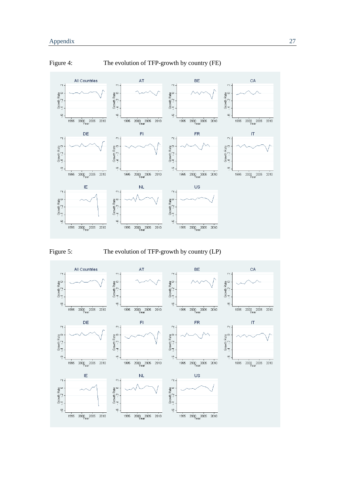

<span id="page-30-0"></span>



<span id="page-30-1"></span>Figure 5: The evolution of TFP-growth by country (LP)

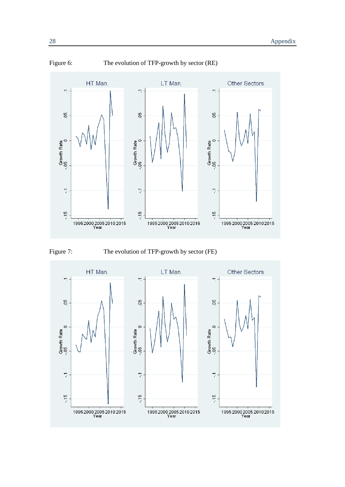

<span id="page-31-0"></span>Figure 6: The evolution of TFP-growth by sector (RE)

<span id="page-31-1"></span>